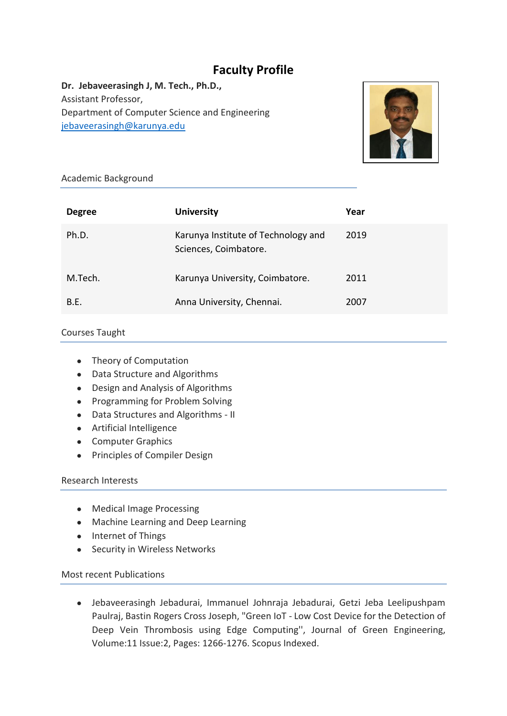# **Faculty Profile**

**Dr. Jebaveerasingh J, M. Tech., Ph.D.,** Assistant Professor, Department of Computer Science and Engineering [jebaveerasingh@karunya.edu](mailto:jebaveerasingh@karunya.edu)



#### Academic Background

| <b>Degree</b> | <b>University</b>                                            | Year |
|---------------|--------------------------------------------------------------|------|
| Ph.D.         | Karunya Institute of Technology and<br>Sciences, Coimbatore. | 2019 |
| M.Tech.       | Karunya University, Coimbatore.                              | 2011 |
| B.E.          | Anna University, Chennai.                                    | 2007 |

#### Courses Taught

- Theory of Computation
- Data Structure and Algorithms
- Design and Analysis of Algorithms
- Programming for Problem Solving
- Data Structures and Algorithms II
- Artificial Intelligence
- Computer Graphics
- Principles of Compiler Design

#### Research Interests

- Medical Image Processing
- Machine Learning and Deep Learning
- Internet of Things
- Security in Wireless Networks

#### Most recent Publications

● Jebaveerasingh Jebadurai, Immanuel Johnraja Jebadurai, Getzi Jeba Leelipushpam Paulraj, Bastin Rogers Cross Joseph, "Green IoT - Low Cost Device for the Detection of Deep Vein Thrombosis using Edge Computing'', Journal of Green Engineering, Volume:11 Issue:2, Pages: 1266-1276. Scopus Indexed.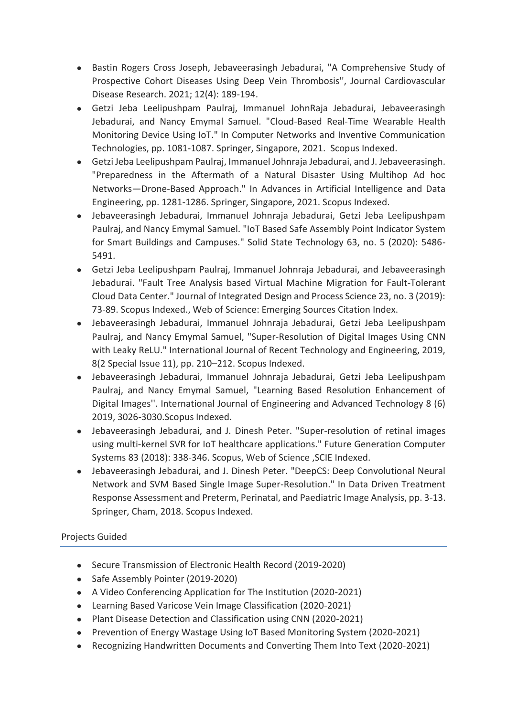- Bastin Rogers Cross Joseph, Jebaveerasingh Jebadurai, "A Comprehensive Study of Prospective Cohort Diseases Using Deep Vein Thrombosis'', Journal Cardiovascular Disease Research. 2021; 12(4): 189-194.
- Getzi Jeba Leelipushpam Paulraj, Immanuel JohnRaja Jebadurai, Jebaveerasingh Jebadurai, and Nancy Emymal Samuel. "Cloud-Based Real-Time Wearable Health Monitoring Device Using IoT." In Computer Networks and Inventive Communication Technologies, pp. 1081-1087. Springer, Singapore, 2021. Scopus Indexed.
- Getzi Jeba Leelipushpam Paulraj, Immanuel Johnraja Jebadurai, and J. Jebaveerasingh. "Preparedness in the Aftermath of a Natural Disaster Using Multihop Ad hoc Networks—Drone-Based Approach." In Advances in Artificial Intelligence and Data Engineering, pp. 1281-1286. Springer, Singapore, 2021. Scopus Indexed.
- Jebaveerasingh Jebadurai, Immanuel Johnraja Jebadurai, Getzi Jeba Leelipushpam Paulraj, and Nancy Emymal Samuel. "IoT Based Safe Assembly Point Indicator System for Smart Buildings and Campuses." Solid State Technology 63, no. 5 (2020): 5486- 5491.
- Getzi Jeba Leelipushpam Paulraj, Immanuel Johnraja Jebadurai, and Jebaveerasingh Jebadurai. "Fault Tree Analysis based Virtual Machine Migration for Fault-Tolerant Cloud Data Center." Journal of Integrated Design and Process Science 23, no. 3 (2019): 73-89. Scopus Indexed., Web of Science: Emerging Sources Citation Index.
- Jebaveerasingh Jebadurai, Immanuel Johnraja Jebadurai, Getzi Jeba Leelipushpam Paulraj, and Nancy Emymal Samuel, "Super-Resolution of Digital Images Using CNN with Leaky ReLU." International Journal of Recent Technology and Engineering, 2019, 8(2 Special Issue 11), pp. 210–212. Scopus Indexed.
- Jebaveerasingh Jebadurai, Immanuel Johnraja Jebadurai, Getzi Jeba Leelipushpam Paulraj, and Nancy Emymal Samuel, "Learning Based Resolution Enhancement of Digital Images''. International Journal of Engineering and Advanced Technology 8 (6) 2019, 3026-3030.Scopus Indexed.
- Jebaveerasingh Jebadurai, and J. Dinesh Peter. "Super-resolution of retinal images using multi-kernel SVR for IoT healthcare applications." Future Generation Computer Systems 83 (2018): 338-346. Scopus, Web of Science ,SCIE Indexed.
- Jebaveerasingh Jebadurai, and J. Dinesh Peter. "DeepCS: Deep Convolutional Neural Network and SVM Based Single Image Super-Resolution." In Data Driven Treatment Response Assessment and Preterm, Perinatal, and Paediatric Image Analysis, pp. 3-13. Springer, Cham, 2018. Scopus Indexed.

## Projects Guided

- Secure Transmission of Electronic Health Record (2019-2020)
- Safe Assembly Pointer (2019-2020)
- A Video Conferencing Application for The Institution (2020-2021)
- Learning Based Varicose Vein Image Classification (2020-2021)
- Plant Disease Detection and Classification using CNN (2020-2021)
- Prevention of Energy Wastage Using IoT Based Monitoring System (2020-2021)
- Recognizing Handwritten Documents and Converting Them Into Text (2020-2021)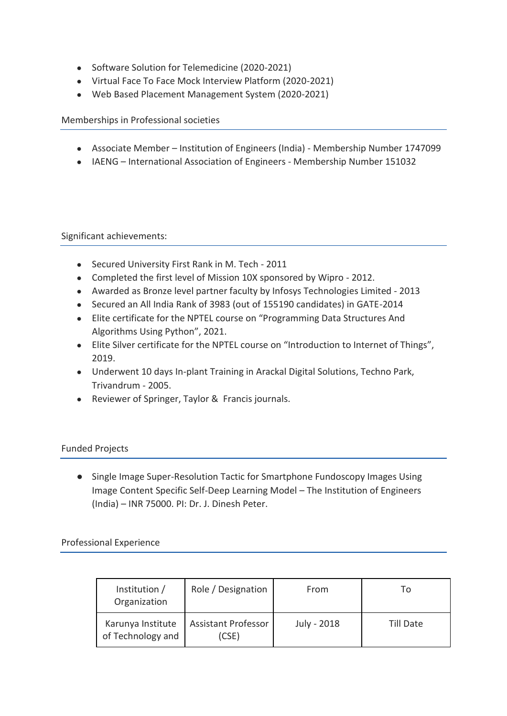- Software Solution for Telemedicine (2020-2021)
- Virtual Face To Face Mock Interview Platform (2020-2021)
- Web Based Placement Management System (2020-2021)

Memberships in Professional societies

- Associate Member Institution of Engineers (India) Membership Number 1747099
- IAENG International Association of Engineers Membership Number 151032

Significant achievements:

- Secured University First Rank in M. Tech 2011
- Completed the first level of Mission 10X sponsored by Wipro 2012.
- Awarded as Bronze level partner faculty by Infosys Technologies Limited 2013
- Secured an All India Rank of 3983 (out of 155190 candidates) in GATE-2014
- Elite certificate for the NPTEL course on "Programming Data Structures And Algorithms Using Python", 2021.
- Elite Silver certificate for the NPTEL course on "Introduction to Internet of Things", 2019.
- Underwent 10 days In-plant Training in Arackal Digital Solutions, Techno Park, Trivandrum - 2005.
- Reviewer of Springer, Taylor & Francis journals.

### Funded Projects

● Single Image Super-Resolution Tactic for Smartphone Fundoscopy Images Using Image Content Specific Self-Deep Learning Model – The Institution of Engineers (India) – INR 75000. PI: Dr. J. Dinesh Peter.

### Professional Experience

| Institution /<br>Organization          | Role / Designation                  | From        | 10        |
|----------------------------------------|-------------------------------------|-------------|-----------|
| Karunya Institute<br>of Technology and | <b>Assistant Professor</b><br>(CSE) | July - 2018 | Till Date |